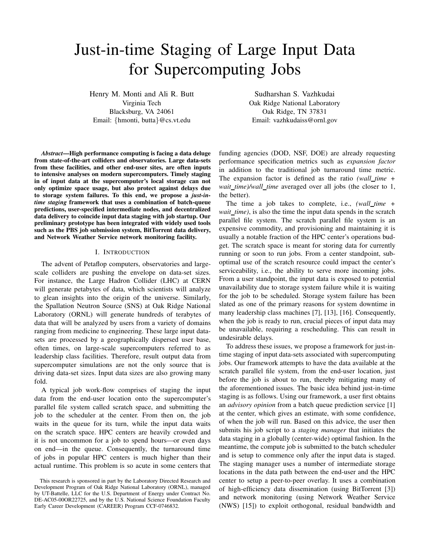# Just-in-time Staging of Large Input Data for Supercomputing Jobs

Henry M. Monti and Ali R. Butt Virginia Tech Blacksburg, VA 24061

Email: {hmonti, butta}@cs.vt.edu

Sudharshan S. Vazhkudai Oak Ridge National Laboratory Oak Ridge, TN 37831 Email: vazhkudaiss@ornl.gov

*Abstract***—High performance computing is facing a data deluge from state-of-the-art colliders and observatories. Large data-sets from these facilities, and other end-user sites, are often inputs to intensive analyses on modern supercomputers. Timely staging in of input data at the supercomputer's local storage can not only optimize space usage, but also protect against delays due to storage system failures. To this end, we propose a** *just-intime staging* **framework that uses a combination of batch-queue predictions, user-specified intermediate nodes, and decentralized data delivery to coincide input data staging with job startup. Our preliminary prototype has been integrated with widely used tools such as the PBS job submission system, BitTorrent data delivery, and Network Weather Service network monitoring facility.**

#### I. INTRODUCTION

The advent of Petaflop computers, observatories and largescale colliders are pushing the envelope on data-set sizes. For instance, the Large Hadron Collider (LHC) at CERN will generate petabytes of data, which scientists will analyze to glean insights into the origin of the universe. Similarly, the Spallation Neutron Source (SNS) at Oak Ridge National Laboratory (ORNL) will generate hundreds of terabytes of data that will be analyzed by users from a variety of domains ranging from medicine to engineering. These large input datasets are processed by a geographically dispersed user base, often times, on large-scale supercomputers referred to as leadership class facilities. Therefore, result output data from supercomputer simulations are not the only source that is driving data-set sizes. Input data sizes are also growing many fold.

A typical job work-flow comprises of staging the input data from the end-user location onto the supercomputer's parallel file system called scratch space, and submitting the job to the scheduler at the center. From then on, the job waits in the queue for its turn, while the input data waits on the scratch space. HPC centers are heavily crowded and it is not uncommon for a job to spend hours—or even days on end—in the queue. Consequently, the turnaround time of jobs in popular HPC centers is much higher than their actual runtime. This problem is so acute in some centers that funding agencies (DOD, NSF, DOE) are already requesting performance specification metrics such as *expansion factor* in addition to the traditional job turnaround time metric. The expansion factor is defined as the ratio *(wall time + wait\_time*)/wall\_time averaged over all jobs (the closer to 1, the better).

The time a job takes to complete, i.e., *(wall time + wait time)*, is also the time the input data spends in the scratch parallel file system. The scratch parallel file system is an expensive commodity, and provisioning and maintaining it is usually a notable fraction of the HPC center's operations budget. The scratch space is meant for storing data for currently running or soon to run jobs. From a center standpoint, suboptimal use of the scratch resource could impact the center's serviceability, i.e., the ability to serve more incoming jobs. From a user standpoint, the input data is exposed to potential unavailability due to storage system failure while it is waiting for the job to be scheduled. Storage system failure has been slated as one of the primary reasons for system downtime in many leadership class machines [7], [13], [16]. Consequently, when the job is ready to run, crucial pieces of input data may be unavailable, requiring a rescheduling. This can result in undesirable delays.

To address these issues, we propose a framework for just-intime staging of input data-sets associated with supercomputing jobs. Our framework attempts to have the data available at the scratch parallel file system, from the end-user location, just before the job is about to run, thereby mitigating many of the aforementioned issues. The basic idea behind just-in-time staging is as follows. Using our framework, a user first obtains an *advisory opinion* from a batch queue prediction service [1] at the center, which gives an estimate, with some confidence, of when the job will run. Based on this advice, the user then submits his job script to a *staging manager* that initiates the data staging in a globally (center-wide) optimal fashion. In the meantime, the compute job is submitted to the batch scheduler and is setup to commence only after the input data is staged. The staging manager uses a number of intermediate storage locations in the data path between the end-user and the HPC center to setup a peer-to-peer overlay. It uses a combination of high-efficiency data dissemination (using BitTorrent [3]) and network monitoring (using Network Weather Service (NWS) [15]) to exploit orthogonal, residual bandwidth and

This research is sponsored in part by the Laboratory Directed Research and Development Program of Oak Ridge National Laboratory (ORNL), managed by UT-Battelle, LLC for the U.S. Department of Energy under Contract No. DE-AC05-00OR22725, and by the U.S. National Science Foundation Faculty Early Career Development (CAREER) Program CCF-0746832.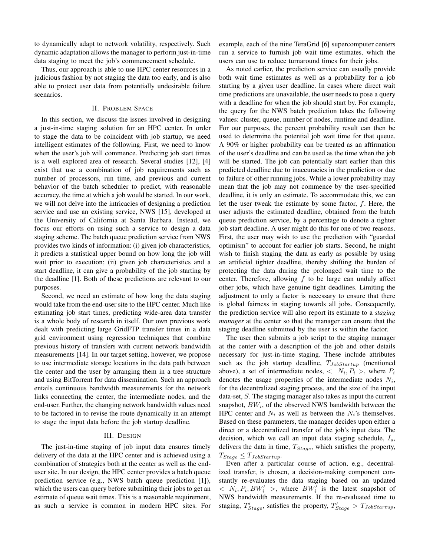to dynamically adapt to network volatility, respectively. Such dynamic adaptation allows the manager to perform just-in-time data staging to meet the job's commencement schedule.

Thus, our approach is able to use HPC center resources in a judicious fashion by not staging the data too early, and is also able to protect user data from potentially undesirable failure scenarios.

# II. PROBLEM SPACE

In this section, we discuss the issues involved in designing a just-in-time staging solution for an HPC center. In order to stage the data to be coincident with job startup, we need intelligent estimates of the following. First, we need to know when the user's job will commence. Predicting job start times is a well explored area of research. Several studies [12], [4] exist that use a combination of job requirements such as number of processors, run time, and previous and current behavior of the batch scheduler to predict, with reasonable accuracy, the time at which a job would be started. In our work, we will not delve into the intricacies of designing a prediction service and use an existing service, NWS [15], developed at the University of California at Santa Barbara. Instead, we focus our efforts on using such a service to design a data staging scheme. The batch queue prediction service from NWS provides two kinds of information: (i) given job characteristics, it predicts a statistical upper bound on how long the job will wait prior to execution; (ii) given job characteristics and a start deadline, it can give a probability of the job starting by the deadline [1]. Both of these predictions are relevant to our purposes.

Second, we need an estimate of how long the data staging would take from the end-user site to the HPC center. Much like estimating job start times, predicting wide-area data transfer is a whole body of research in itself. Our own previous work dealt with predicting large GridFTP transfer times in a data grid environment using regression techniques that combine previous history of transfers with current network bandwidth measurements [14]. In our target setting, however, we propose to use intermediate storage locations in the data path between the center and the user by arranging them in a tree structure and using BitTorrent for data dissemination. Such an approach entails continuous bandwidth measurements for the network links connecting the center, the intermediate nodes, and the end-user. Further, the changing network bandwidth values need to be factored in to revise the route dynamically in an attempt to stage the input data before the job startup deadline.

# III. DESIGN

The just-in-time staging of job input data ensures timely delivery of the data at the HPC center and is achieved using a combination of strategies both at the center as well as the enduser site. In our design, the HPC center provides a batch queue prediction service (e.g., NWS batch queue prediction [1]), which the users can query before submitting their jobs to get an estimate of queue wait times. This is a reasonable requirement, as such a service is common in modern HPC sites. For example, each of the nine TeraGrid [6] supercomputer centers run a service to furnish job wait time estimates, which the users can use to reduce turnaround times for their jobs.

As noted earlier, the prediction service can usually provide both wait time estimates as well as a probability for a job starting by a given user deadline. In cases where direct wait time predictions are unavailable, the user needs to pose a query with a deadline for when the job should start by. For example, the query for the NWS batch prediction takes the following values: cluster, queue, number of nodes, runtime and deadline. For our purposes, the percent probability result can then be used to determine the potential job wait time for that queue. A 90% or higher probability can be treated as an affirmation of the user's deadline and can be used as the time when the job will be started. The job can potentially start earlier than this predicted deadline due to inaccuracies in the prediction or due to failure of other running jobs. While a lower probability may mean that the job may not commence by the user-specified deadline, it is only an estimate. To accommodate this, we can let the user tweak the estimate by some factor,  $f$ . Here, the user adjusts the estimated deadline, obtained from the batch queue prediction service, by a percentage to denote a tighter job start deadline. A user might do this for one of two reasons. First, the user may wish to use the prediction with "guarded optimism" to account for earlier job starts. Second, he might wish to finish staging the data as early as possible by using an artificial tighter deadline, thereby shifting the burden of protecting the data during the prolonged wait time to the center. Therefore, allowing  $f$  to be large can unduly affect other jobs, which have genuine tight deadlines. Limiting the adjustment to only a factor is necessary to ensure that there is global fairness in staging towards all jobs. Consequently, the prediction service will also report its estimate to a *staging manager* at the center so that the manager can ensure that the staging deadline submitted by the user is within the factor.

The user then submits a job script to the staging manager at the center with a description of the job and other details necessary for just-in-time staging. These include attributes such as the job startup deadline,  $T_{JobStartup}$  (mentioned above), a set of intermediate nodes,  $\langle N_i, P_i \rangle$ , where  $P_i$ denotes the usage properties of the intermediate nodes  $N_i$ , for the decentralized staging process, and the size of the input data-set, S. The staging manager also takes as input the current snapshot,  $BW_i$ , of the observed NWS bandwidth between the HPC center and  $N_i$  as well as between the  $N_i$ 's themselves. Based on these parameters, the manager decides upon either a direct or a decentralized transfer of the job's input data. The decision, which we call an input data staging schedule,  $I_s$ , delivers the data in time,  $T_{Stage}$ , which satisfies the property,  $T_{Stage} \leq T_{JobStartup}.$ 

Even after a particular course of action, e.g., decentralized transfer, is chosen, a decision-making component constantly re-evaluates the data staging based on an updated  $\langle N_i, P_i, BW_i' \rangle$ , where  $BW_i'$  is the latest snapshot of NWS bandwidth measurements. If the re-evaluated time to staging,  $T'_{Stage}$ , satisfies the property,  $T'_{Stage} > T_{JobStartup}$ ,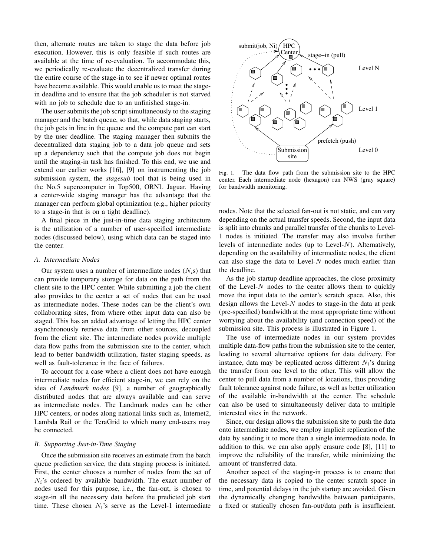then, alternate routes are taken to stage the data before job execution. However, this is only feasible if such routes are available at the time of re-evaluation. To accommodate this, we periodically re-evaluate the decentralized transfer during the entire course of the stage-in to see if newer optimal routes have become available. This would enable us to meet the stagein deadline and to ensure that the job scheduler is not starved with no job to schedule due to an unfinished stage-in.

The user submits the job script simultaneously to the staging manager and the batch queue, so that, while data staging starts, the job gets in line in the queue and the compute part can start by the user deadline. The staging manager then submits the decentralized data staging job to a data job queue and sets up a dependency such that the compute job does not begin until the staging-in task has finished. To this end, we use and extend our earlier works [16], [9] on instrumenting the job submission system, the *stagesub* tool that is being used in the No.5 supercomputer in Top500, ORNL Jaguar. Having a center-wide staging manager has the advantage that the manager can perform global optimization (e.g., higher priority to a stage-in that is on a tight deadline).

A final piece in the just-in-time data staging architecture is the utilization of a number of user-specified intermediate nodes (discussed below), using which data can be staged into the center.

#### *A. Intermediate Nodes*

Our system uses a number of intermediate nodes  $(N_i s)$  that can provide temporary storage for data on the path from the client site to the HPC center. While submitting a job the client also provides to the center a set of nodes that can be used as intermediate nodes. These nodes can be the client's own collaborating sites, from where other input data can also be staged. This has an added advantage of letting the HPC center asynchronously retrieve data from other sources, decoupled from the client site. The intermediate nodes provide multiple data flow paths from the submission site to the center, which lead to better bandwidth utilization, faster staging speeds, as well as fault-tolerance in the face of failures.

To account for a case where a client does not have enough intermediate nodes for efficient stage-in, we can rely on the idea of *Landmark nodes* [9], a number of geographically distributed nodes that are always available and can serve as intermediate nodes. The Landmark nodes can be other HPC centers, or nodes along national links such as, Internet2, Lambda Rail or the TeraGrid to which many end-users may be connected.

#### *B. Supporting Just-in-Time Staging*

Once the submission site receives an estimate from the batch queue prediction service, the data staging process is initiated. First, the center chooses a number of nodes from the set of  $N_i$ 's ordered by available bandwidth. The exact number of nodes used for this purpose, i.e., the fan-out, is chosen to stage-in all the necessary data before the predicted job start time. These chosen  $N_i$ 's serve as the Level-1 intermediate



Fig. 1. The data flow path from the submission site to the HPC center. Each intermediate node (hexagon) run NWS (gray square) for bandwidth monitoring.

nodes. Note that the selected fan-out is not static, and can vary depending on the actual transfer speeds. Second, the input data is split into chunks and parallel transfer of the chunks to Level-1 nodes is initiated. The transfer may also involve further levels of intermediate nodes (up to Level- $N$ ). Alternatively, depending on the availability of intermediate nodes, the client can also stage the data to Level- $N$  nodes much earlier than the deadline.

As the job startup deadline approaches, the close proximity of the Level- $N$  nodes to the center allows them to quickly move the input data to the center's scratch space. Also, this design allows the Level- $N$  nodes to stage-in the data at peak (pre-specified) bandwidth at the most appropriate time without worrying about the availability (and connection speed) of the submission site. This process is illustrated in Figure 1.

The use of intermediate nodes in our system provides multiple data-flow paths from the submission site to the center, leading to several alternative options for data delivery. For instance, data may be replicated across different  $N_i$ 's during the transfer from one level to the other. This will allow the center to pull data from a number of locations, thus providing fault tolerance against node failure, as well as better utilization of the available in-bandwidth at the center. The schedule can also be used to simultaneously deliver data to multiple interested sites in the network.

Since, our design allows the submission site to push the data onto intermediate nodes, we employ implicit replication of the data by sending it to more than a single intermediate node. In addition to this, we can also apply erasure code [8], [11] to improve the reliability of the transfer, while minimizing the amount of transferred data.

Another aspect of the staging-in process is to ensure that the necessary data is copied to the center scratch space in time, and potential delays in the job startup are avoided. Given the dynamically changing bandwidths between participants, a fixed or statically chosen fan-out/data path is insufficient.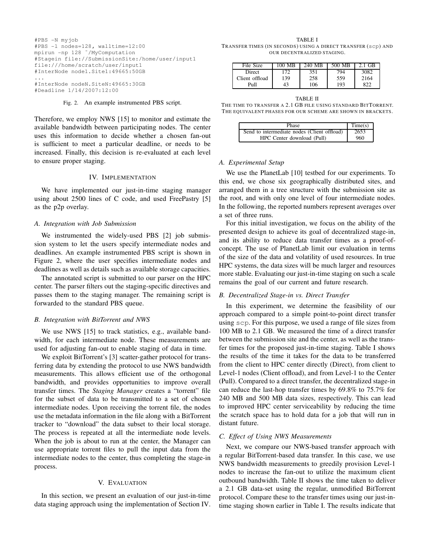```
#PBS -N myjob
#PBS -l nodes=128, walltime=12:00
mpirun -np 128 ˜/MyComputation
#Stagein file://SubmissionSite:/home/user/input1
file:///home/scratch/user/input1
#InterNode node1.Site1:49665:50GB
...
#InterNode nodeN.SiteN:49665:30GB
#Deadline 1/14/2007:12:00
```
#### Fig. 2. An example instrumented PBS script.

Therefore, we employ NWS [15] to monitor and estimate the available bandwidth between participating nodes. The center uses this information to decide whether a chosen fan-out is sufficient to meet a particular deadline, or needs to be increased. Finally, this decision is re-evaluated at each level to ensure proper staging.

## IV. IMPLEMENTATION

We have implemented our just-in-time staging manager using about 2500 lines of C code, and used FreePastry [5] as the p2p overlay.

#### *A. Integration with Job Submission*

We instrumented the widely-used PBS [2] job submission system to let the users specify intermediate nodes and deadlines. An example instrumented PBS script is shown in Figure 2, where the user specifies intermediate nodes and deadlines as well as details such as available storage capacities.

The annotated script is submitted to our parser on the HPC center. The parser filters out the staging-specific directives and passes them to the staging manager. The remaining script is forwarded to the standard PBS queue.

### *B. Integration with BitTorrent and NWS*

We use NWS [15] to track statistics, e.g., available bandwidth, for each intermediate node. These measurements are used for adjusting fan-out to enable staging of data in time.

We exploit BitTorrent's [3] scatter-gather protocol for transferring data by extending the protocol to use NWS bandwidth measurements. This allows efficient use of the orthogonal bandwidth, and provides opportunities to improve overall transfer times. The *Staging Manager* creates a "torrent" file for the subset of data to be transmitted to a set of chosen intermediate nodes. Upon receiving the torrent file, the nodes use the metadata information in the file along with a BitTorrent tracker to "download" the data subset to their local storage. The process is repeated at all the intermediate node levels. When the job is about to run at the center, the Manager can use appropriate torrent files to pull the input data from the intermediate nodes to the center, thus completing the stage-in process.

## V. EVALUATION

In this section, we present an evaluation of our just-in-time data staging approach using the implementation of Section IV.

TABLE I TRANSFER TIMES (IN SECONDS) USING A DIRECT TRANSFER (scp) AND OUR DECENTRALIZED STAGING.

| File Size      | MВ  | 240 MB | 500<br>МB | 2.1 GB |
|----------------|-----|--------|-----------|--------|
| Direct         | 72  | 351    | 794       | 3082   |
| Client offload | 139 | 258    | 559       | 2164   |
| Pull           | 43  | 106    | 193       | 877    |

TABLE II THE TIME TO TRANSFER A 2.1 GB FILE USING STANDARD BITTORRENT. THE EQUIVALENT PHASES FOR OUR SCHEME ARE SHOWN IN BRACKETS.

| Phase                                       | Time(s) |
|---------------------------------------------|---------|
| Send to intermediate nodes (Client offload) | 2653    |
| HPC Center download (Pull)                  | 960     |

### *A. Experimental Setup*

We use the PlanetLab [10] testbed for our experiments. To this end, we chose six geographically distributed sites, and arranged them in a tree structure with the submission site as the root, and with only one level of four intermediate nodes. In the following, the reported numbers represent averages over a set of three runs.

For this initial investigation, we focus on the ability of the presented design to achieve its goal of decentralized stage-in, and its ability to reduce data transfer times as a proof-ofconcept. The use of PlanetLab limit our evaluation in terms of the size of the data and volatility of used resources. In true HPC systems, the data sizes will be much larger and resources more stable. Evaluating our just-in-time staging on such a scale remains the goal of our current and future research.

#### *B. Decentralized Stage-in vs. Direct Transfer*

In this experiment, we determine the feasibility of our approach compared to a simple point-to-point direct transfer using scp. For this purpose, we used a range of file sizes from 100 MB to 2.1 GB. We measured the time of a direct transfer between the submission site and the center, as well as the transfer times for the proposed just-in-time staging. Table I shows the results of the time it takes for the data to be transferred from the client to HPC center directly (Direct), from client to Level-1 nodes (Client offload), and from Level-1 to the Center (Pull). Compared to a direct transfer, the decentralized stage-in can reduce the last-hop transfer times by 69.8% to 75.7% for 240 MB and 500 MB data sizes, respectively. This can lead to improved HPC center serviceability by reducing the time the scratch space has to hold data for a job that will run in distant future.

## *C. Effect of Using NWS Measurements*

Next, we compare our NWS-based transfer approach with a regular BitTorrent-based data transfer. In this case, we use NWS bandwidth measurements to greedily provision Level-1 nodes to increase the fan-out to utilize the maximum client outbound bandwidth. Table II shows the time taken to deliver a 2.1 GB data-set using the regular, unmodified BitTorrent protocol. Compare these to the transfer times using our just-intime staging shown earlier in Table I. The results indicate that